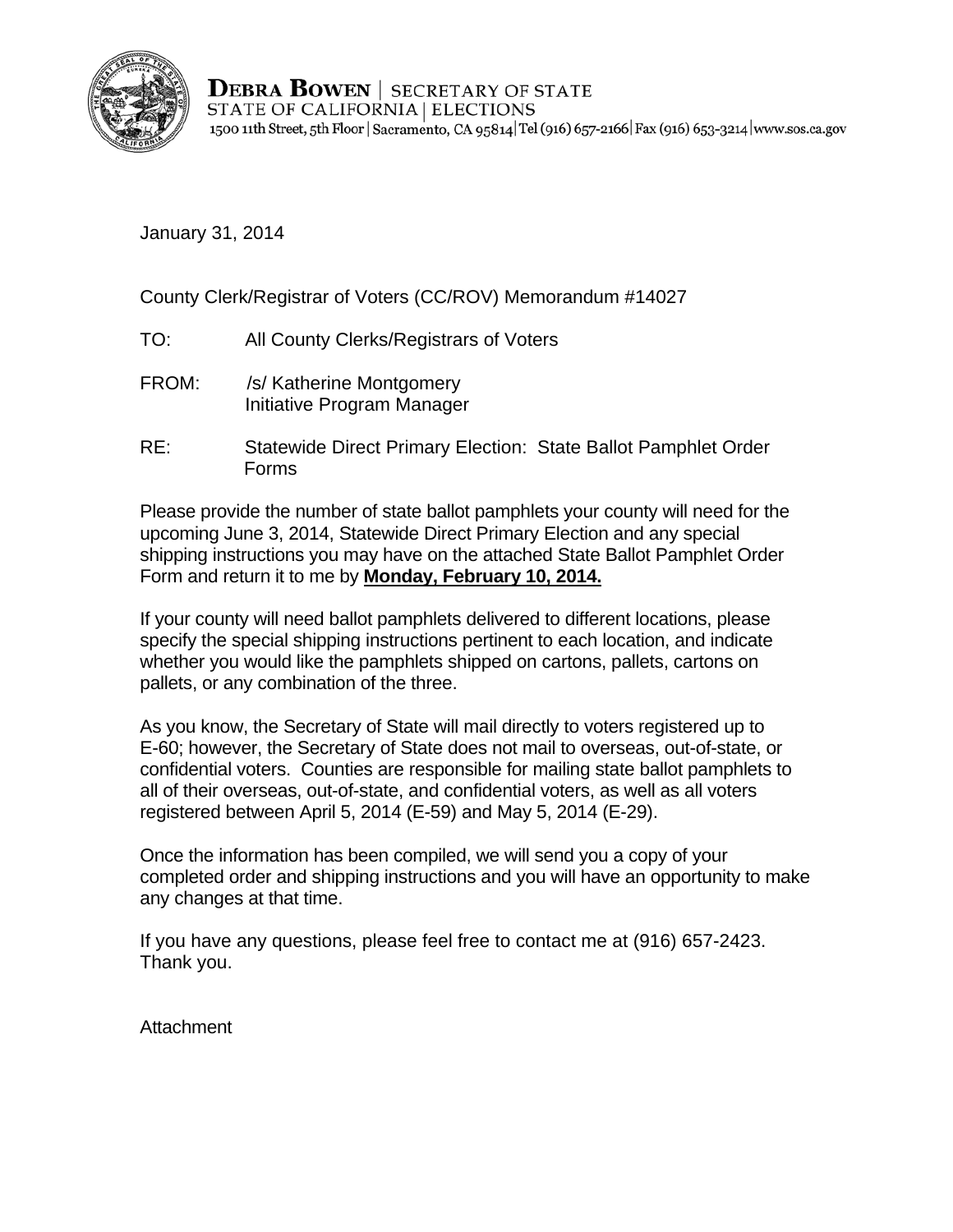

**DEBRA BOWEN** SECRETARY OF STATE STATE OF CALIFORNIA | ELECTIONS 1500 11th Street, 5th Floor | Sacramento, CA 95814 Tel (916) 657-2166 | Fax (916) 653-3214 | www.sos.ca.gov

January 31, 2014

County Clerk/Registrar of Voters (CC/ROV) Memorandum #14027

- TO: All County Clerks/Registrars of Voters
- FROM: /s/ Katherine Montgomery Initiative Program Manager
- RE: Statewide Direct Primary Election: State Ballot Pamphlet Order Forms

Please provide the number of state ballot pamphlets your county will need for the upcoming June 3, 2014, Statewide Direct Primary Election and any special shipping instructions you may have on the attached State Ballot Pamphlet Order Form and return it to me by **Monday, February 10, 2014.** 

If your county will need ballot pamphlets delivered to different locations, please specify the special shipping instructions pertinent to each location, and indicate whether you would like the pamphlets shipped on cartons, pallets, cartons on pallets, or any combination of the three.

As you know, the Secretary of State will mail directly to voters registered up to E-60; however, the Secretary of State does not mail to overseas, out-of-state, or confidential voters. Counties are responsible for mailing state ballot pamphlets to all of their overseas, out-of-state, and confidential voters, as well as all voters registered between April 5, 2014 (E-59) and May 5, 2014 (E-29).

Once the information has been compiled, we will send you a copy of your completed order and shipping instructions and you will have an opportunity to make any changes at that time.

If you have any questions, please feel free to contact me at (916) 657-2423. Thank you.

**Attachment**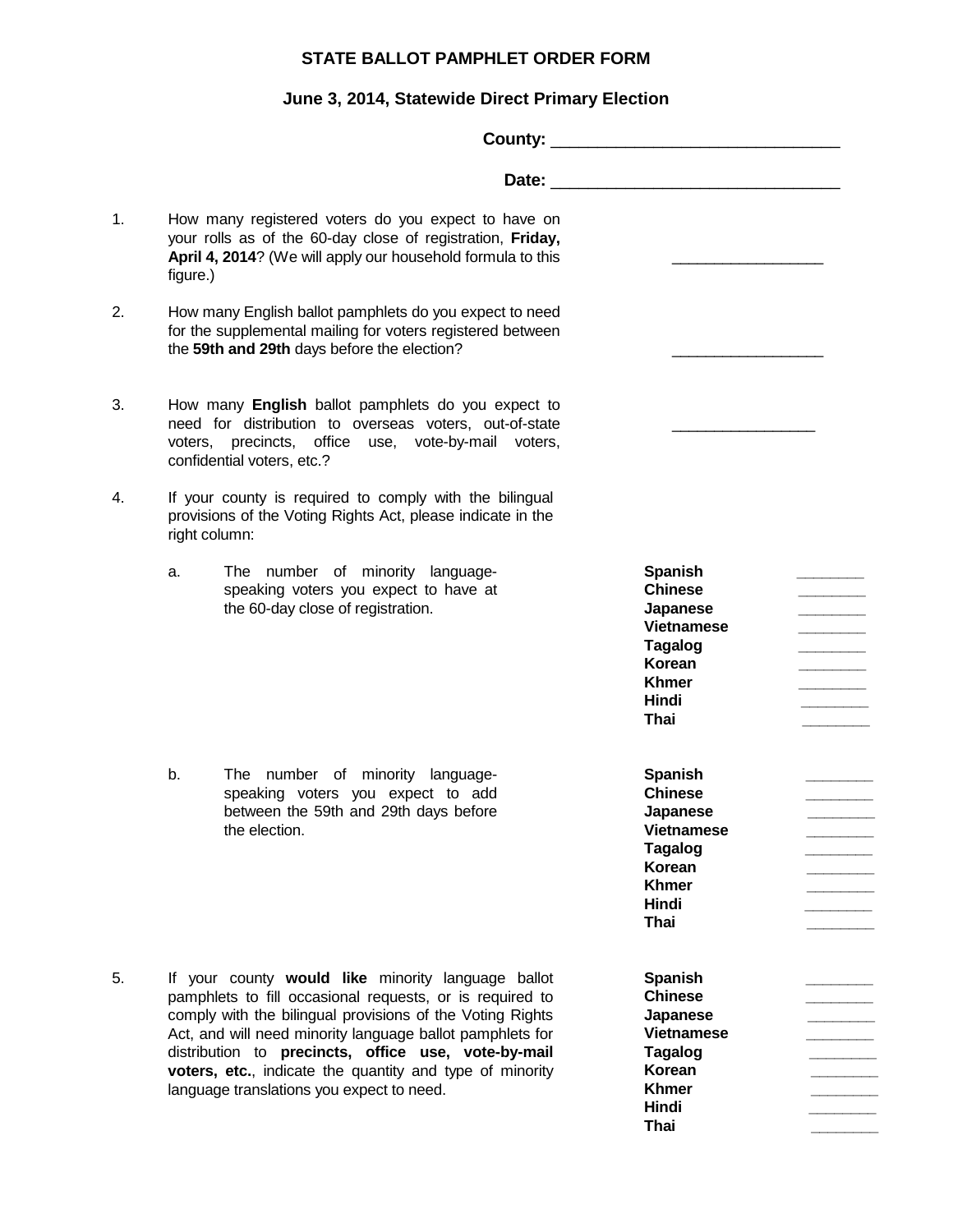## **STATE BALLOT PAMPHLET ORDER FORM**

## **June 3, 2014, Statewide Direct Primary Election**

| 1. | figure.)                                                                                                                                                                                          | How many registered voters do you expect to have on<br>your rolls as of the 60-day close of registration, Friday,<br>April 4, 2014? (We will apply our household formula to this                                                                                                                                                                                                                         |                                                                                                                                       |  |
|----|---------------------------------------------------------------------------------------------------------------------------------------------------------------------------------------------------|----------------------------------------------------------------------------------------------------------------------------------------------------------------------------------------------------------------------------------------------------------------------------------------------------------------------------------------------------------------------------------------------------------|---------------------------------------------------------------------------------------------------------------------------------------|--|
| 2. |                                                                                                                                                                                                   | How many English ballot pamphlets do you expect to need<br>for the supplemental mailing for voters registered between<br>the 59th and 29th days before the election?                                                                                                                                                                                                                                     |                                                                                                                                       |  |
| 3. | How many English ballot pamphlets do you expect to<br>need for distribution to overseas voters, out-of-state<br>voters, precincts, office use, vote-by-mail voters,<br>confidential voters, etc.? |                                                                                                                                                                                                                                                                                                                                                                                                          |                                                                                                                                       |  |
| 4. | right column:                                                                                                                                                                                     | If your county is required to comply with the bilingual<br>provisions of the Voting Rights Act, please indicate in the                                                                                                                                                                                                                                                                                   |                                                                                                                                       |  |
|    | a.                                                                                                                                                                                                | The number of minority language-<br>speaking voters you expect to have at<br>the 60-day close of registration.                                                                                                                                                                                                                                                                                           | <b>Spanish</b><br><b>Chinese</b><br>Japanese<br><b>Vietnamese</b><br><b>Tagalog</b><br>Korean<br><b>Khmer</b><br>Hindi<br>Thai        |  |
|    | b.                                                                                                                                                                                                | The number of minority language-<br>speaking voters you expect to add<br>between the 59th and 29th days before<br>the election.                                                                                                                                                                                                                                                                          | <b>Spanish</b><br><b>Chinese</b><br>Japanese<br><b>Vietnamese</b><br><b>Tagalog</b><br>Korean<br><b>Khmer</b><br>Hindi<br>Thai        |  |
| 5. |                                                                                                                                                                                                   | If your county would like minority language ballot<br>pamphlets to fill occasional requests, or is required to<br>comply with the bilingual provisions of the Voting Rights<br>Act, and will need minority language ballot pamphlets for<br>distribution to precincts, office use, vote-by-mail<br>voters, etc., indicate the quantity and type of minority<br>language translations you expect to need. | <b>Spanish</b><br><b>Chinese</b><br>Japanese<br><b>Vietnamese</b><br><b>Tagalog</b><br>Korean<br><b>Khmer</b><br>Hindi<br><b>Thai</b> |  |